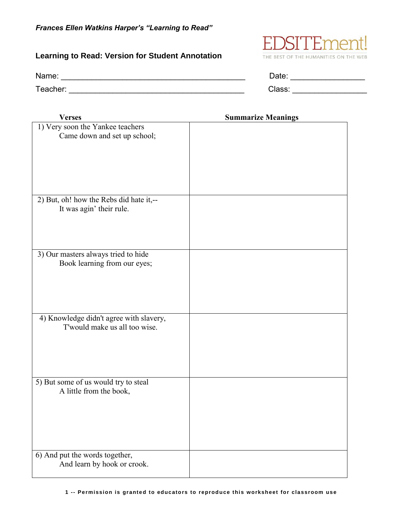## **Learning to Read: Version for Student Annotation**

Name: \_\_\_\_\_\_\_\_\_\_\_\_\_\_\_\_\_\_\_\_\_\_\_\_\_\_\_\_\_\_\_\_\_\_\_\_\_\_\_\_\_\_ Date: \_\_\_\_\_\_\_\_\_\_\_\_\_\_\_\_\_

 1) Very soon the Yankee teachers Came down and set up school; 2) But, oh! how the Rebs did hate it,-- It was agin' their rule. 3) Our masters always tried to hide Book learning from our eyes; 4) Knowledge didn't agree with slavery, T'would make us all too wise. 5) But some of us would try to steal A little from the book, 6) And put the words together, And learn by hook or crook.

| Date:          |  |
|----------------|--|
| - - - -<br>. . |  |



**Verses Summarize Meanings**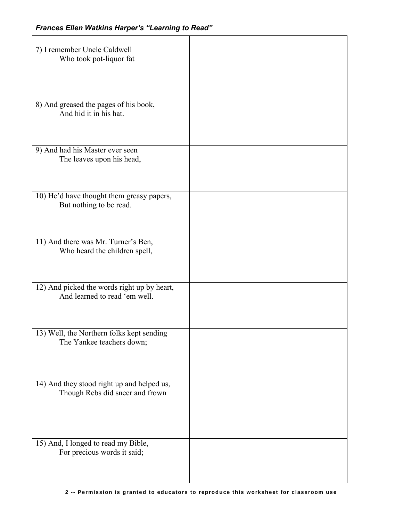| 7) I remember Uncle Caldwell<br>Who took pot-liquor fat                       |  |
|-------------------------------------------------------------------------------|--|
| 8) And greased the pages of his book,<br>And hid it in his hat.               |  |
| 9) And had his Master ever seen<br>The leaves upon his head,                  |  |
| 10) He'd have thought them greasy papers,<br>But nothing to be read.          |  |
| 11) And there was Mr. Turner's Ben,<br>Who heard the children spell,          |  |
| 12) And picked the words right up by heart,<br>And learned to read 'em well.  |  |
| 13) Well, the Northern folks kept sending<br>The Yankee teachers down;        |  |
| 14) And they stood right up and helped us,<br>Though Rebs did sneer and frown |  |
| 15) And, I longed to read my Bible,<br>For precious words it said;            |  |
|                                                                               |  |